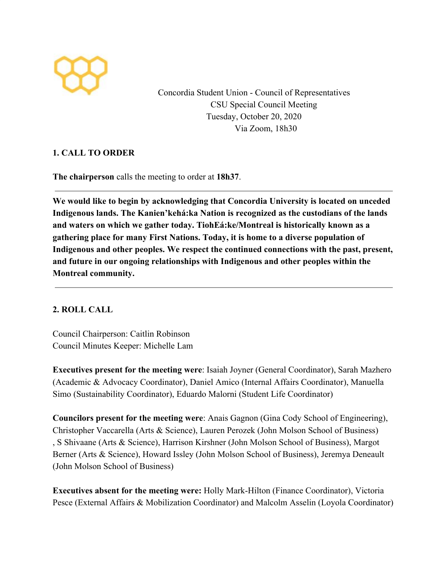

Concordia Student Union - Council of Representatives CSU Special Council Meeting Tuesday, October 20, 2020 Via Zoom, 18h30

## **1. CALL TO ORDER**

**The chairperson** calls the meeting to order at **18h37**.

**We would like to begin by acknowledging that Concordia University is located on unceded Indigenous lands. The Kanien'kehá:ka Nation is recognized as the custodians of the lands and waters on which we gather today. TiohEá:ke/Montreal is historically known as a gathering place for many First Nations. Today, it is home to a diverse population of Indigenous and other peoples. We respect the continued connections with the past, present, and future in our ongoing relationships with Indigenous and other peoples within the Montreal community.**

## **2. ROLL CALL**

Council Chairperson: Caitlin Robinson Council Minutes Keeper: Michelle Lam

**Executives present for the meeting were**: Isaiah Joyner (General Coordinator), Sarah Mazhero (Academic & Advocacy Coordinator), Daniel Amico (Internal Affairs Coordinator), Manuella Simo (Sustainability Coordinator), Eduardo Malorni (Student Life Coordinator)

**Councilors present for the meeting were**: Anais Gagnon (Gina Cody School of Engineering), Christopher Vaccarella (Arts & Science), Lauren Perozek (John Molson School of Business) , S Shivaane (Arts & Science), Harrison Kirshner (John Molson School of Business), Margot Berner (Arts & Science), Howard Issley (John Molson School of Business), Jeremya Deneault (John Molson School of Business)

**Executives absent for the meeting were:** Holly Mark-Hilton (Finance Coordinator), Victoria Pesce (External Affairs & Mobilization Coordinator) and Malcolm Asselin (Loyola Coordinator)